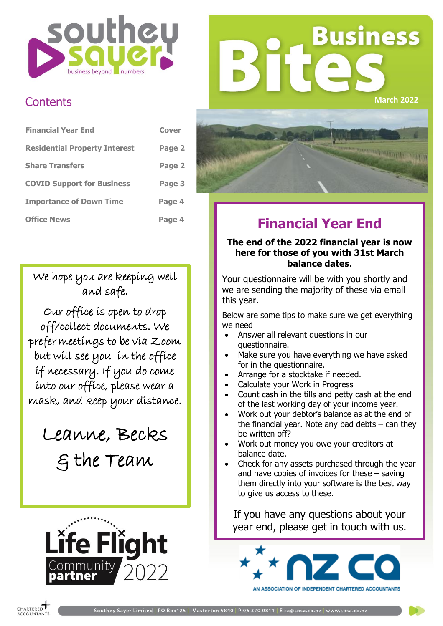

## **Business March 2022**

### **Contents**

| <b>Financial Year End</b>            | Cover  |
|--------------------------------------|--------|
| <b>Residential Property Interest</b> | Page 2 |
| <b>Share Transfers</b>               | Page 2 |
| <b>COVID Support for Business</b>    | Page 3 |
| <b>Importance of Down Time</b>       | Page 4 |
| <b>Office News</b>                   | Page 4 |

We hope you are keeping well and safe.

Our office is open to drop off/collect documents. We prefer meetings to be via Zoom but will see you in the office if necessary. If you do come into our office, please wear a mask, and keep your distance.

Leanne, Becks & the Team





## **Financial Year End**

#### **The end of the 2022 financial year is now here for those of you with 31st March balance dates.**

Your questionnaire will be with you shortly and we are sending the majority of these via email this year.

Below are some tips to make sure we get everything we need

- Answer all relevant questions in our questionnaire.
- Make sure you have everything we have asked for in the questionnaire.
- Arrange for a stocktake if needed.
- Calculate your Work in Progress
- Count cash in the tills and petty cash at the end of the last working day of your income year.
- Work out your debtor's balance as at the end of the financial year. Note any bad debts  $-$  can they be written off?
- Work out money you owe your creditors at balance date.
- Check for any assets purchased through the year and have copies of invoices for these – saving them directly into your software is the best way to give us access to these.

If you have any questions about your year end, please get in touch with us.

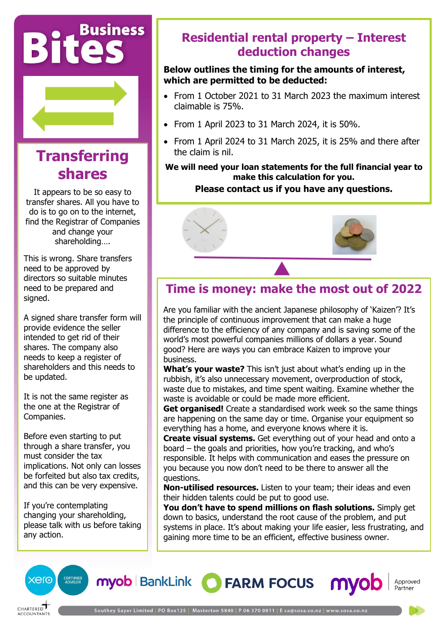# **Bites**



## **Transferring shares**

It appears to be so easy to transfer shares. All you have to do is to go on to the internet, find the Registrar of Companies and change your shareholding….

This is wrong. Share transfers need to be approved by directors so suitable minutes need to be prepared and signed.

A signed share transfer form will provide evidence the seller intended to get rid of their shares. The company also needs to keep a register of shareholders and this needs to be updated.

It is not the same register as the one at the Registrar of Companies.

Before even starting to put through a share transfer, you must consider the tax implications. Not only can losses be forfeited but also tax credits, and this can be very expensive.

If you're contemplating changing your shareholding, please talk with us before taking any action.

### **Residential rental property – Interest deduction changes**

#### **Below outlines the timing for the amounts of interest, which are permitted to be deducted:**

- From 1 October 2021 to 31 March 2023 the maximum interest claimable is 75%.
- From 1 April 2023 to 31 March 2024, it is 50%.
- From 1 April 2024 to 31 March 2025, it is 25% and there after the claim is nil.

**We will need your loan statements for the full financial year to make this calculation for you.** 

#### **Please contact us if you have any questions.**



## **Time is money: make the most out of 2022**

Are you familiar with the ancient Japanese philosophy of 'Kaizen'? It's the principle of continuous improvement that can make a huge difference to the efficiency of any company and is saving some of the world's most powerful companies millions of dollars a year. Sound good? Here are ways you can embrace Kaizen to improve your business.

**What's your waste?** This isn't just about what's ending up in the rubbish, it's also unnecessary movement, overproduction of stock, waste due to mistakes, and time spent waiting. Examine whether the waste is avoidable or could be made more efficient.

**Get organised!** Create a standardised work week so the same things are happening on the same day or time. Organise your equipment so everything has a home, and everyone knows where it is.

**Create visual systems.** Get everything out of your head and onto a board – the goals and priorities, how you're tracking, and who's responsible. It helps with communication and eases the pressure on you because you now don't need to be there to answer all the questions.

**Non-utilised resources.** Listen to your team; their ideas and even their hidden talents could be put to good use.

**You don't have to spend millions on flash solutions.** Simply get down to basics, understand the root cause of the problem, and put systems in place. It's about making your life easier, less frustrating, and gaining more time to be an efficient, effective business owner.



myob BankLink C FARM FOCUS

Approved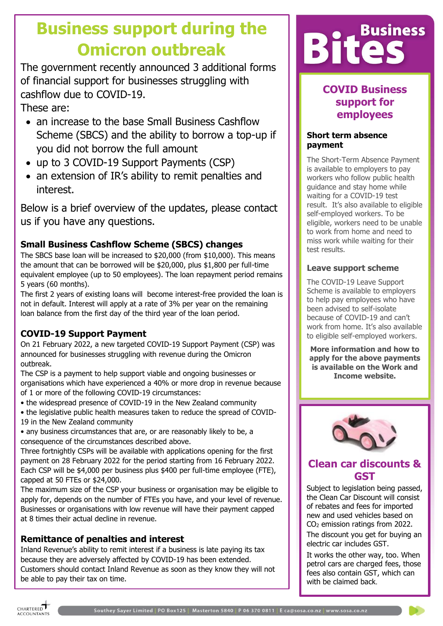## **Business support during the Omicron outbreak**

The government recently announced 3 additional forms of financial support for businesses struggling with cashflow due to COVID-19. These are:

• an increase to the base Small Business Cashflow Scheme (SBCS) and the ability to borrow a top-up if you did not borrow the full amount

- up to 3 COVID-19 Support Payments (CSP)
- an extension of IR's ability to remit penalties and interest.

Below is a brief overview of the updates, please contact us if you have any questions.

#### **Small Business Cashflow Scheme (SBCS) changes**

The SBCS base loan will be increased to \$20,000 (from \$10,000). This means the amount that can be borrowed will be \$20,000, plus \$1,800 per full-time equivalent employee (up to 50 employees). The loan repayment period remains 5 years (60 months).

The first 2 years of existing loans will become interest-free provided the loan is not in default. Interest will apply at a rate of 3% per year on the remaining loan balance from the first day of the third year of the loan period.

#### **COVID-19 Support Payment**

On 21 February 2022, a new targeted COVID-19 Support Payment (CSP) was announced for businesses struggling with revenue during the Omicron outbreak.

The CSP is a payment to help support viable and ongoing businesses or organisations which have experienced a 40% or more drop in revenue because of 1 or more of the following COVID-19 circumstances:

- the widespread presence of COVID-19 in the New Zealand community
- the legislative public health measures taken to reduce the spread of COVID-19 in the New Zealand community

• any business circumstances that are, or are reasonably likely to be, a consequence of the circumstances described above.

Three fortnightly CSPs will be available with applications opening for the first payment on 28 February 2022 for the period starting from 16 February 2022. Each CSP will be \$4,000 per business plus \$400 per full-time employee (FTE), capped at 50 FTEs or \$24,000.

The maximum size of the CSP your business or organisation may be eligible to apply for, depends on the number of FTEs you have, and your level of revenue. Businesses or organisations with low revenue will have their payment capped at 8 times their actual decline in revenue.

#### **Remittance of penalties and interest**

Inland Revenue's ability to remit interest if a business is late paying its tax because they are adversely affected by COVID-19 has been extended. Customers should contact Inland Revenue as soon as they know they will not be able to pay their tax on time.



#### **COVID Business support for employees**

#### **Short term absence payment**

The Short-Term Absence Payment is available to employers to pay workers who follow public health guidance and stay home while waiting for a COVID-19 test result. It's also available to eligible self-employed workers. To be eligible, workers need to be unable to work from home and need to miss work while waiting for their test results.

#### **Leave support scheme**

The COVID-19 Leave Support Scheme is available to employers to help pay employees who have been advised to self-isolate because of COVID-19 and can't work from home. It's also available to eligible self-employed workers.

**More information and how to apply for the above payments is available on the Work and Income website.**



#### **Clean car discounts & GST**

Subject to legislation being passed, the Clean Car Discount will consist of rebates and fees for imported new and used vehicles based on CO<sup>2</sup> emission ratings from 2022.

The discount you get for buying an electric car includes GST.

It works the other way, too. When petrol cars are charged fees, those fees also contain GST, which can with be claimed back.